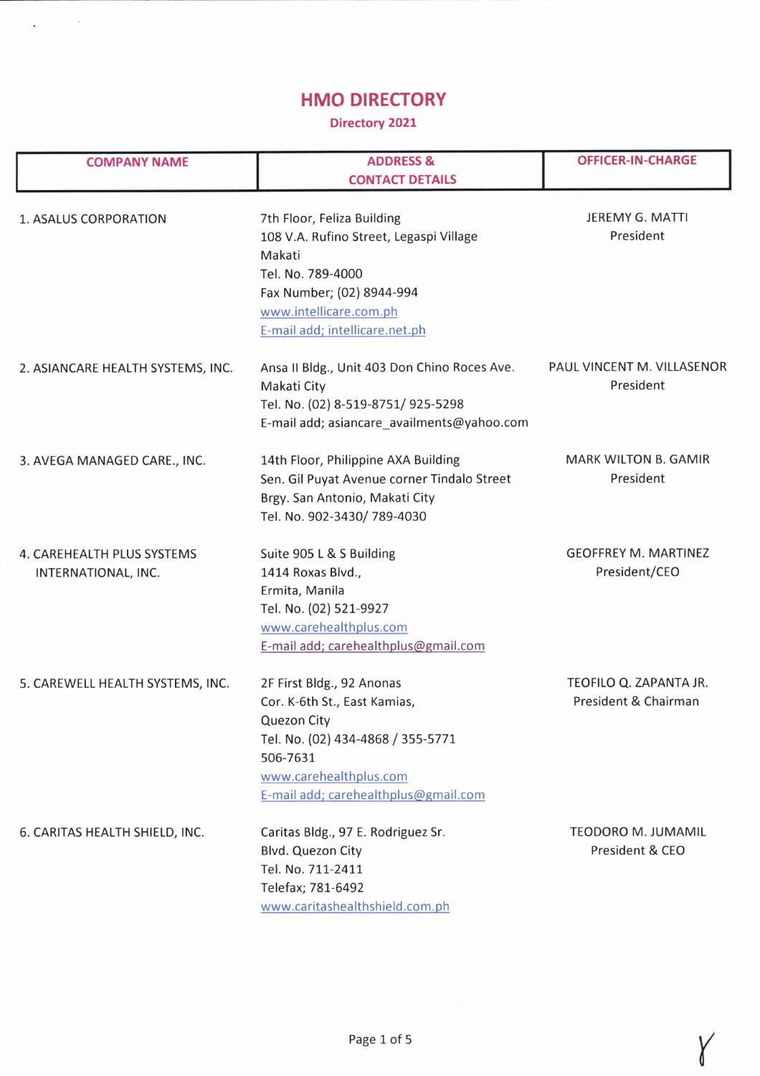## HMO DIRECTORY

 $\mathbf{x}^{(i)}$  and  $\mathbf{x}^{(i)}$ 

## Directory 2021

| <b>COMPANY NAME</b>               | <b>ADDRESS &amp;</b>                         | <b>OFFICER-IN-CHARGE</b>    |
|-----------------------------------|----------------------------------------------|-----------------------------|
|                                   | <b>CONTACT DETAILS</b>                       |                             |
|                                   |                                              |                             |
| 1. ASALUS CORPORATION             | 7th Floor, Feliza Building                   | <b>JEREMY G. MATTI</b>      |
|                                   | 108 V.A. Rufino Street, Legaspi Village      | President                   |
|                                   | Makati                                       |                             |
|                                   | Tel. No. 789-4000                            |                             |
|                                   | Fax Number; (02) 8944-994                    |                             |
|                                   | www.intellicare.com.ph                       |                             |
|                                   | E-mail add; intellicare.net.ph               |                             |
| 2. ASIANCARE HEALTH SYSTEMS, INC. | Ansa II Bldg., Unit 403 Don Chino Roces Ave. | PAUL VINCENT M. VILLASENOR  |
|                                   | Makati City                                  | President                   |
|                                   | Tel. No. (02) 8-519-8751/ 925-5298           |                             |
|                                   | E-mail add; asiancare_availments@yahoo.com   |                             |
| 3. AVEGA MANAGED CARE., INC.      | 14th Floor, Philippine AXA Building          | <b>MARK WILTON B. GAMIR</b> |
|                                   | Sen. Gil Puyat Avenue corner Tindalo Street  | President                   |
|                                   | Brgy. San Antonio, Makati City               |                             |
|                                   | Tel. No. 902-3430/789-4030                   |                             |
| 4. CAREHEALTH PLUS SYSTEMS        | Suite 905 L & S Building                     | <b>GEOFFREY M. MARTINEZ</b> |
| INTERNATIONAL, INC.               | 1414 Roxas Blvd.,                            | President/CEO               |
|                                   | Ermita, Manila                               |                             |
|                                   | Tel. No. (02) 521-9927                       |                             |
|                                   | www.carehealthplus.com                       |                             |
|                                   | E-mail add; carehealthplus@gmail.com         |                             |
| 5. CAREWELL HEALTH SYSTEMS, INC.  | 2F First Bldg., 92 Anonas                    | TEOFILO Q. ZAPANTA JR.      |
|                                   | Cor. K-6th St., East Kamias,                 | President & Chairman        |
|                                   | <b>Quezon City</b>                           |                             |
|                                   | Tel. No. (02) 434-4868 / 355-5771            |                             |
|                                   | 506-7631                                     |                             |
|                                   | www.carehealthplus.com                       |                             |
|                                   | E-mail add; carehealthplus@gmail.com         |                             |
| 6. CARITAS HEALTH SHIELD, INC.    | Caritas Bldg., 97 E. Rodriguez Sr.           | <b>TEODORO M. JUMAMIL</b>   |
|                                   | <b>Blvd. Quezon City</b>                     | President & CEO             |
|                                   | Tel. No. 711-2411                            |                             |
|                                   | Telefax; 781-6492                            |                             |
|                                   | www.caritashealthshield.com.ph               |                             |

Y